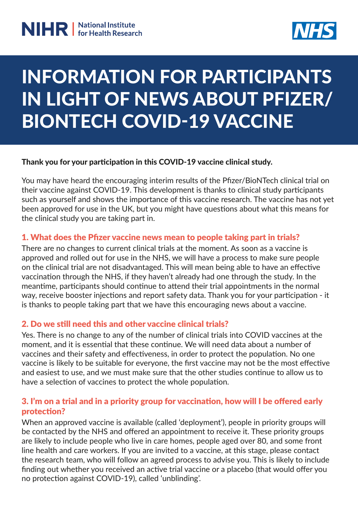

# INFORMATION FOR PARTICIPANTS IN LIGHT OF NEWS ABOUT PFIZER/ BIONTECH COVID-19 VACCINE

#### Thank you for your participation in this COVID-19 vaccine clinical study.

You may have heard the encouraging interim results of the Pfizer/BioNTech clinical trial on their vaccine against COVID-19. This development is thanks to clinical study participants such as yourself and shows the importance of this vaccine research. The vaccine has not yet been approved for use in the UK, but you might have questions about what this means for the clinical study you are taking part in.

#### 1. What does the Pfizer vaccine news mean to people taking part in trials?

There are no changes to current clinical trials at the moment. As soon as a vaccine is approved and rolled out for use in the NHS, we will have a process to make sure people on the clinical trial are not disadvantaged. This will mean being able to have an effective vaccination through the NHS, if they haven't already had one through the study. In the meantime, participants should continue to attend their trial appointments in the normal way, receive booster injections and report safety data. Thank you for your participation - it is thanks to people taking part that we have this encouraging news about a vaccine.

#### 2. Do we still need this and other vaccine clinical trials?

Yes. There is no change to any of the number of clinical trials into COVID vaccines at the moment, and it is essential that these continue. We will need data about a number of vaccines and their safety and effectiveness, in order to protect the population. No one vaccine is likely to be suitable for everyone, the first vaccine may not be the most effective and easiest to use, and we must make sure that the other studies continue to allow us to have a selection of vaccines to protect the whole population.

#### 3. I'm on a trial and in a priority group for vaccination, how will I be offered early protection?

When an approved vaccine is available (called 'deployment'), people in priority groups will be contacted by the NHS and offered an appointment to receive it. These priority groups are likely to include people who live in care homes, people aged over 80, and some front line health and care workers. If you are invited to a vaccine, at this stage, please contact the research team, who will follow an agreed process to advise you. This is likely to include finding out whether you received an active trial vaccine or a placebo (that would offer you no protection against COVID-19), called 'unblinding'.